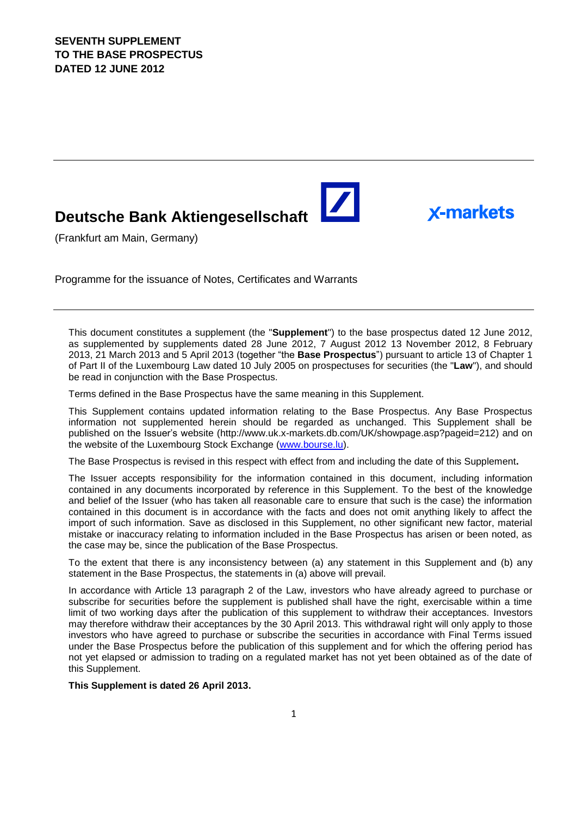# **Deutsche Bank Aktiengesellschaft**

**X-markets** 

(Frankfurt am Main, Germany)

Programme for the issuance of Notes, Certificates and Warrants

This document constitutes a supplement (the "**Supplement**") to the base prospectus dated 12 June 2012, as supplemented by supplements dated 28 June 2012, 7 August 2012 13 November 2012, 8 February 2013, 21 March 2013 and 5 April 2013 (together "the **Base Prospectus**") pursuant to article 13 of Chapter 1 of Part II of the Luxembourg Law dated 10 July 2005 on prospectuses for securities (the "**Law**"), and should be read in conjunction with the Base Prospectus.

Terms defined in the Base Prospectus have the same meaning in this Supplement.

This Supplement contains updated information relating to the Base Prospectus. Any Base Prospectus information not supplemented herein should be regarded as unchanged. This Supplement shall be published on the Issuer's website (http://www.uk.x-markets.db.com/UK/showpage.asp?pageid=212) and on the website of the Luxembourg Stock Exchange (www.bourse.lu).

The Base Prospectus is revised in this respect with effect from and including the date of this Supplement**.**

The Issuer accepts responsibility for the information contained in this document, including information contained in any documents incorporated by reference in this Supplement. To the best of the knowledge and belief of the Issuer (who has taken all reasonable care to ensure that such is the case) the information contained in this document is in accordance with the facts and does not omit anything likely to affect the import of such information. Save as disclosed in this Supplement, no other significant new factor, material mistake or inaccuracy relating to information included in the Base Prospectus has arisen or been noted, as the case may be, since the publication of the Base Prospectus.

To the extent that there is any inconsistency between (a) any statement in this Supplement and (b) any statement in the Base Prospectus, the statements in (a) above will prevail.

In accordance with Article 13 paragraph 2 of the Law, investors who have already agreed to purchase or subscribe for securities before the supplement is published shall have the right, exercisable within a time limit of two working days after the publication of this supplement to withdraw their acceptances. Investors may therefore withdraw their acceptances by the 30 April 2013. This withdrawal right will only apply to those investors who have agreed to purchase or subscribe the securities in accordance with Final Terms issued under the Base Prospectus before the publication of this supplement and for which the offering period has not yet elapsed or admission to trading on a regulated market has not yet been obtained as of the date of this Supplement.

**This Supplement is dated 26 April 2013.**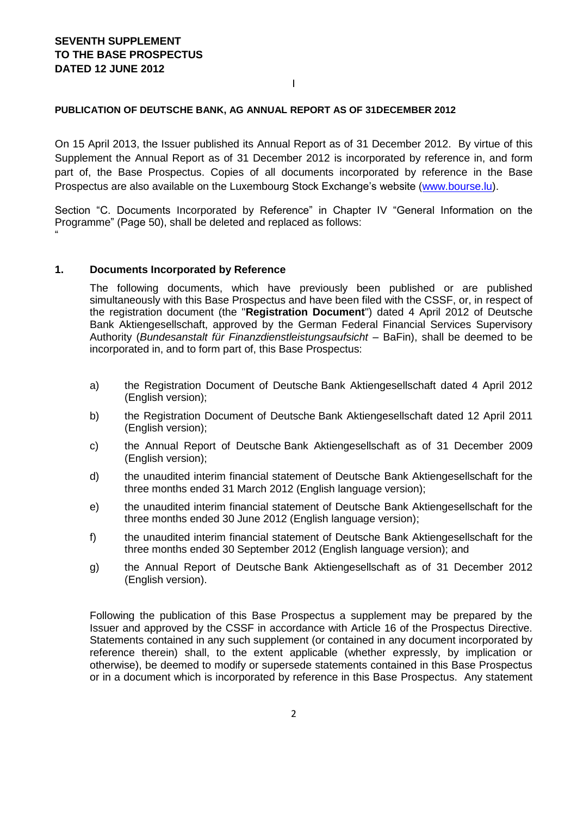### **PUBLICATION OF DEUTSCHE BANK, AG ANNUAL REPORT AS OF 31DECEMBER 2012**

On 15 April 2013, the Issuer published its Annual Report as of 31 December 2012. By virtue of this Supplement the Annual Report as of 31 December 2012 is incorporated by reference in, and form part of, the Base Prospectus. Copies of all documents incorporated by reference in the Base Prospectus are also available on the Luxembourg Stock Exchange's website [\(www.bourse.lu\)](http://www.bourse.lu/).

I

Section "C. Documents Incorporated by Reference" in Chapter IV "General Information on the Programme" (Page 50), shall be deleted and replaced as follows: "

#### **1. Documents Incorporated by Reference**

The following documents, which have previously been published or are published simultaneously with this Base Prospectus and have been filed with the CSSF, or, in respect of the registration document (the "**Registration Document**") dated 4 April 2012 of Deutsche Bank Aktiengesellschaft, approved by the German Federal Financial Services Supervisory Authority (*Bundesanstalt für Finanzdienstleistungsaufsicht –* BaFin), shall be deemed to be incorporated in, and to form part of, this Base Prospectus:

- a) the Registration Document of Deutsche Bank Aktiengesellschaft dated 4 April 2012 (English version);
- b) the Registration Document of Deutsche Bank Aktiengesellschaft dated 12 April 2011 (English version);
- c) the Annual Report of Deutsche Bank Aktiengesellschaft as of 31 December 2009 (English version);
- d) the unaudited interim financial statement of Deutsche Bank Aktiengesellschaft for the three months ended 31 March 2012 (English language version);
- e) the unaudited interim financial statement of Deutsche Bank Aktiengesellschaft for the three months ended 30 June 2012 (English language version);
- f) the unaudited interim financial statement of Deutsche Bank Aktiengesellschaft for the three months ended 30 September 2012 (English language version); and
- g) the Annual Report of Deutsche Bank Aktiengesellschaft as of 31 December 2012 (English version).

Following the publication of this Base Prospectus a supplement may be prepared by the Issuer and approved by the CSSF in accordance with Article 16 of the Prospectus Directive. Statements contained in any such supplement (or contained in any document incorporated by reference therein) shall, to the extent applicable (whether expressly, by implication or otherwise), be deemed to modify or supersede statements contained in this Base Prospectus or in a document which is incorporated by reference in this Base Prospectus. Any statement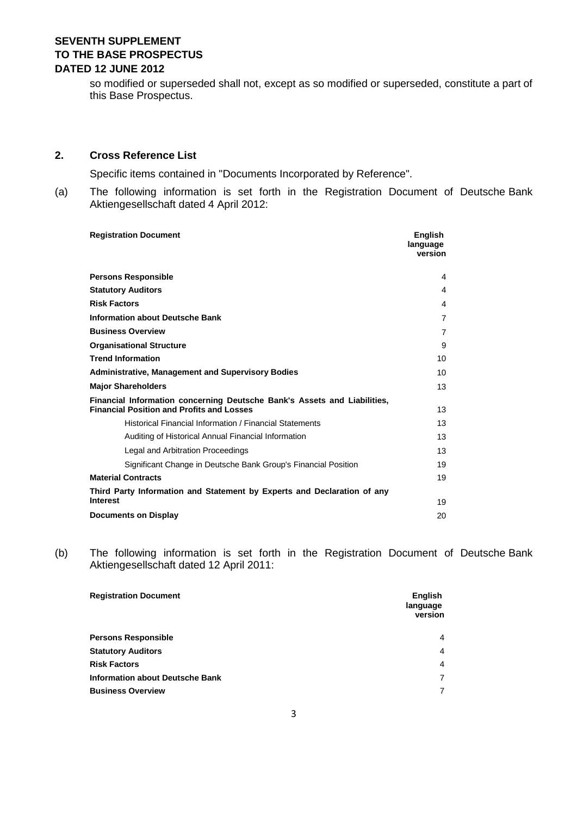so modified or superseded shall not, except as so modified or superseded, constitute a part of this Base Prospectus.

## **2. Cross Reference List**

Specific items contained in "Documents Incorporated by Reference".

(a) The following information is set forth in the Registration Document of Deutsche Bank Aktiengesellschaft dated 4 April 2012:

| <b>Registration Document</b>                                                                                                 | <b>English</b><br>language<br>version |
|------------------------------------------------------------------------------------------------------------------------------|---------------------------------------|
| <b>Persons Responsible</b>                                                                                                   | 4                                     |
| <b>Statutory Auditors</b>                                                                                                    | 4                                     |
| <b>Risk Factors</b>                                                                                                          | 4                                     |
| <b>Information about Deutsche Bank</b>                                                                                       | $\overline{7}$                        |
| <b>Business Overview</b>                                                                                                     | $\overline{7}$                        |
| <b>Organisational Structure</b>                                                                                              | 9                                     |
| <b>Trend Information</b>                                                                                                     | 10                                    |
| <b>Administrative, Management and Supervisory Bodies</b>                                                                     | 10                                    |
| <b>Major Shareholders</b>                                                                                                    | 13                                    |
| Financial Information concerning Deutsche Bank's Assets and Liabilities,<br><b>Financial Position and Profits and Losses</b> | 13                                    |
| Historical Financial Information / Financial Statements                                                                      | 13                                    |
| Auditing of Historical Annual Financial Information                                                                          | 13                                    |
| Legal and Arbitration Proceedings                                                                                            | 13                                    |
| Significant Change in Deutsche Bank Group's Financial Position                                                               | 19                                    |
| <b>Material Contracts</b>                                                                                                    | 19                                    |
| Third Party Information and Statement by Experts and Declaration of any<br><b>Interest</b>                                   | 19                                    |
| <b>Documents on Display</b>                                                                                                  | 20                                    |

(b) The following information is set forth in the Registration Document of Deutsche Bank Aktiengesellschaft dated 12 April 2011:

| <b>Registration Document</b>           | <b>English</b><br>language<br>version |
|----------------------------------------|---------------------------------------|
| <b>Persons Responsible</b>             | 4                                     |
| <b>Statutory Auditors</b>              | $\overline{4}$                        |
| <b>Risk Factors</b>                    | $\overline{4}$                        |
| <b>Information about Deutsche Bank</b> | 7                                     |
| <b>Business Overview</b>               | 7                                     |
|                                        |                                       |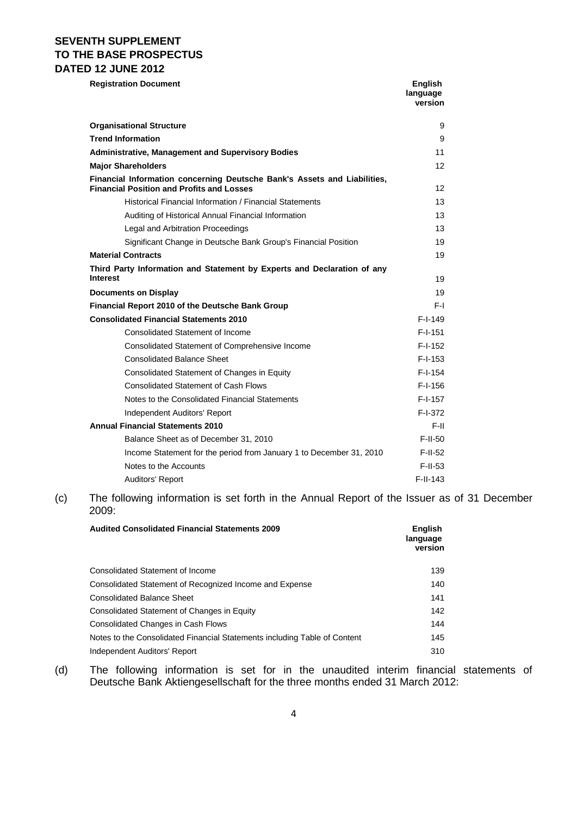**Registration Document English** 

|                                                                                                                              | language<br>version |
|------------------------------------------------------------------------------------------------------------------------------|---------------------|
| <b>Organisational Structure</b>                                                                                              | 9                   |
| <b>Trend Information</b>                                                                                                     | 9                   |
| <b>Administrative, Management and Supervisory Bodies</b>                                                                     | 11                  |
| <b>Major Shareholders</b>                                                                                                    | 12                  |
| Financial Information concerning Deutsche Bank's Assets and Liabilities,<br><b>Financial Position and Profits and Losses</b> | 12                  |
| Historical Financial Information / Financial Statements                                                                      | 13                  |
| Auditing of Historical Annual Financial Information                                                                          | 13                  |
| Legal and Arbitration Proceedings                                                                                            | 13                  |
| Significant Change in Deutsche Bank Group's Financial Position                                                               | 19                  |
| <b>Material Contracts</b>                                                                                                    | 19                  |
| Third Party Information and Statement by Experts and Declaration of any<br>Interest                                          | 19                  |
| <b>Documents on Display</b>                                                                                                  | 19                  |
| Financial Report 2010 of the Deutsche Bank Group                                                                             | F-I                 |
| <b>Consolidated Financial Statements 2010</b>                                                                                | $F-I-149$           |
| Consolidated Statement of Income                                                                                             | $F-I-151$           |
| Consolidated Statement of Comprehensive Income                                                                               | $F-I-152$           |
| <b>Consolidated Balance Sheet</b>                                                                                            | $F-I-153$           |
| Consolidated Statement of Changes in Equity                                                                                  | $F-I-154$           |
| <b>Consolidated Statement of Cash Flows</b>                                                                                  | $F-I-156$           |
| Notes to the Consolidated Financial Statements                                                                               | $F-I-157$           |
| Independent Auditors' Report                                                                                                 | F-I-372             |
| <b>Annual Financial Statements 2010</b>                                                                                      | F-II                |
| Balance Sheet as of December 31, 2010                                                                                        | $F-II-50$           |
| Income Statement for the period from January 1 to December 31, 2010                                                          | $F-II-52$           |
| Notes to the Accounts                                                                                                        | $F-II-53$           |
| Auditors' Report                                                                                                             | $F-II-143$          |

(c) The following information is set forth in the Annual Report of the Issuer as of 31 December 2009:

| <b>Audited Consolidated Financial Statements 2009</b>                     | <b>English</b><br>language<br>version |
|---------------------------------------------------------------------------|---------------------------------------|
| <b>Consolidated Statement of Income</b>                                   | 139                                   |
| Consolidated Statement of Recognized Income and Expense                   | 140                                   |
| <b>Consolidated Balance Sheet</b>                                         | 141                                   |
| Consolidated Statement of Changes in Equity                               | 142                                   |
| Consolidated Changes in Cash Flows                                        | 144                                   |
| Notes to the Consolidated Financial Statements including Table of Content | 145                                   |
| Independent Auditors' Report                                              | 310                                   |

(d) The following information is set for in the unaudited interim financial statements of Deutsche Bank Aktiengesellschaft for the three months ended 31 March 2012: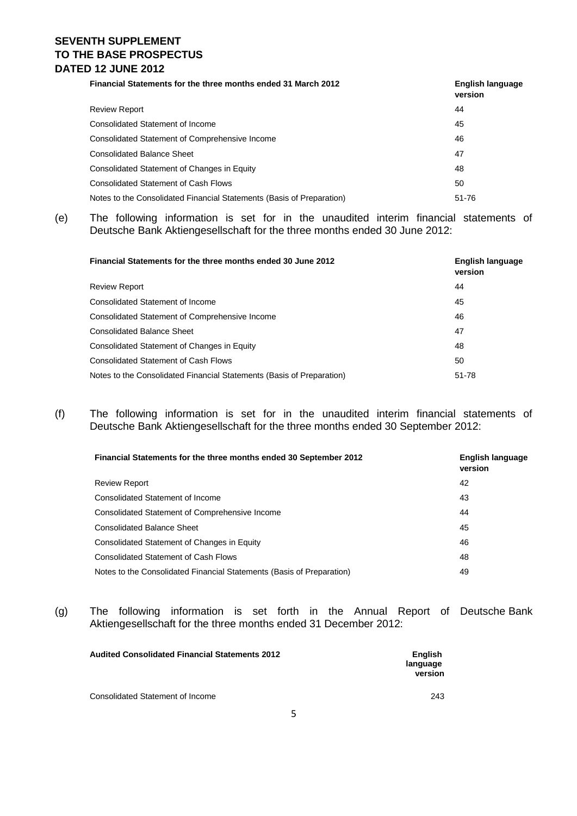| <b>Financial Statements for the three months ended 31 March 2012</b>  | English language<br>version |
|-----------------------------------------------------------------------|-----------------------------|
| <b>Review Report</b>                                                  | 44                          |
| Consolidated Statement of Income                                      | 45                          |
| Consolidated Statement of Comprehensive Income                        | 46                          |
| <b>Consolidated Balance Sheet</b>                                     | 47                          |
| Consolidated Statement of Changes in Equity                           | 48                          |
| <b>Consolidated Statement of Cash Flows</b>                           | 50                          |
| Notes to the Consolidated Financial Statements (Basis of Preparation) | 51-76                       |

(e) The following information is set for in the unaudited interim financial statements of Deutsche Bank Aktiengesellschaft for the three months ended 30 June 2012:

| Financial Statements for the three months ended 30 June 2012          | <b>English language</b><br>version |
|-----------------------------------------------------------------------|------------------------------------|
| <b>Review Report</b>                                                  | 44                                 |
| Consolidated Statement of Income                                      | 45                                 |
| Consolidated Statement of Comprehensive Income                        | 46                                 |
| <b>Consolidated Balance Sheet</b>                                     | 47                                 |
| Consolidated Statement of Changes in Equity                           | 48                                 |
| <b>Consolidated Statement of Cash Flows</b>                           | 50                                 |
| Notes to the Consolidated Financial Statements (Basis of Preparation) | 51-78                              |

(f) The following information is set for in the unaudited interim financial statements of Deutsche Bank Aktiengesellschaft for the three months ended 30 September 2012:

| Financial Statements for the three months ended 30 September 2012     | English language<br>version |
|-----------------------------------------------------------------------|-----------------------------|
| <b>Review Report</b>                                                  | 42                          |
| Consolidated Statement of Income                                      | 43                          |
| Consolidated Statement of Comprehensive Income                        | 44                          |
| <b>Consolidated Balance Sheet</b>                                     | 45                          |
| Consolidated Statement of Changes in Equity                           | 46                          |
| <b>Consolidated Statement of Cash Flows</b>                           | 48                          |
| Notes to the Consolidated Financial Statements (Basis of Preparation) | 49                          |
|                                                                       |                             |

(g) The following information is set forth in the Annual Report of Deutsche Bank Aktiengesellschaft for the three months ended 31 December 2012:

| <b>Audited Consolidated Financial Statements 2012</b> | <b>English</b><br>language<br>version |
|-------------------------------------------------------|---------------------------------------|
| Consolidated Statement of Income                      | 243                                   |